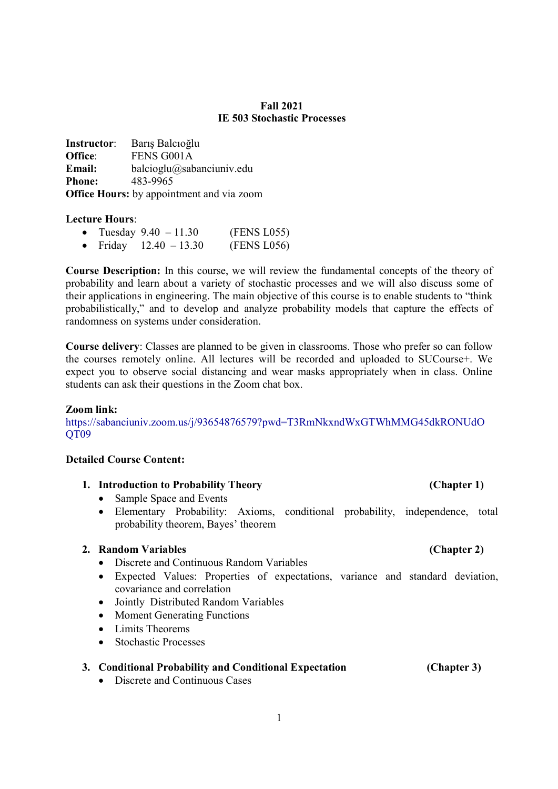## Fall 2021 IE 503 Stochastic Processes

Instructor: Barış Balcıoğlu Office: FENS G001A Email: balcioglu@sabanciuniv.edu Phone: 483-9965 Office Hours: by appointment and via zoom

### Lecture Hours:

| • Tuesday $9.40 - 11.30$ |                  | (FENS L055) |
|--------------------------|------------------|-------------|
|                          | $\sim$ 10 $\sim$ |             |

• Friday  $12.40 - 13.30$  (FENS L056)

Course Description: In this course, we will review the fundamental concepts of the theory of probability and learn about a variety of stochastic processes and we will also discuss some of their applications in engineering. The main objective of this course is to enable students to "think probabilistically," and to develop and analyze probability models that capture the effects of randomness on systems under consideration.

Course delivery: Classes are planned to be given in classrooms. Those who prefer so can follow the courses remotely online. All lectures will be recorded and uploaded to SUCourse+. We expect you to observe social distancing and wear masks appropriately when in class. Online students can ask their questions in the Zoom chat box.

# Zoom link:

https://sabanciuniv.zoom.us/j/93654876579?pwd=T3RmNkxndWxGTWhMMG45dkRONUdO QT09

### Detailed Course Content:

# 1. Introduction to Probability Theory (Chapter 1)

- Sample Space and Events
- Elementary Probability: Axioms, conditional probability, independence, total probability theorem, Bayes' theorem

# 2. Random Variables (Chapter 2)

- Discrete and Continuous Random Variables
- Expected Values: Properties of expectations, variance and standard deviation, covariance and correlation
- Jointly Distributed Random Variables
- Moment Generating Functions
- Limits Theorems
- Stochastic Processes

### 3. Conditional Probability and Conditional Expectation (Chapter 3)

• Discrete and Continuous Cases

## 1